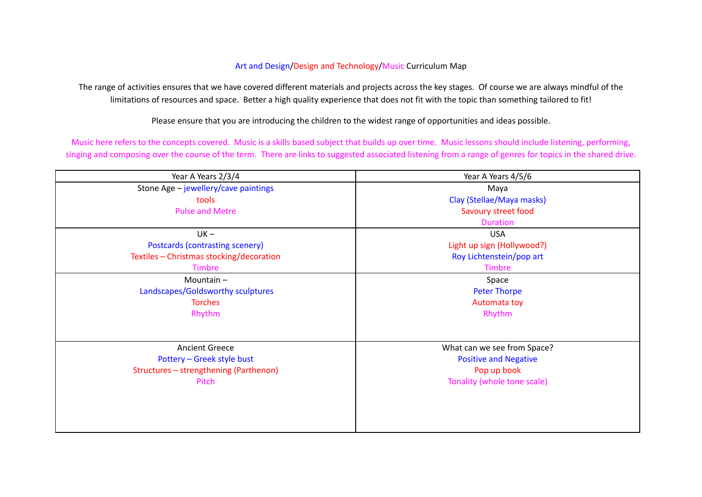## Art and Design/Design and Technology/Music Curriculum Map

The range of activities ensures that we have covered different materials and projects across the key stages. Of course we are always mindful of the limitations of resources and space. Better a high quality experience that does not fit with the topic than something tailored to fit!

Please ensure that you are introducing the children to the widest range of opportunities and ideas possible.

Music here refers to the concepts covered. Music is a skills based subject that builds up over time. Music lessons should include listening, performing, singing and composing over the course of the term. There are links to suggested associated listening from a range of genres for topics in the shared drive.

| Year A Years 2/3/4                       | Year A Years 4/5/6           |
|------------------------------------------|------------------------------|
| Stone Age - jewellery/cave paintings     | Maya                         |
| tools                                    | Clay (Stellae/Maya masks)    |
| <b>Pulse and Metre</b>                   | Savoury street food          |
|                                          | <b>Duration</b>              |
| $UK -$                                   | <b>USA</b>                   |
| Postcards (contrasting scenery)          | Light up sign (Hollywood?)   |
| Textiles - Christmas stocking/decoration | Roy Lichtenstein/pop art     |
| Timbre                                   | <b>Timbre</b>                |
| Mountain $-$                             | Space                        |
| Landscapes/Goldsworthy sculptures        | <b>Peter Thorpe</b>          |
| <b>Torches</b>                           | Automata toy                 |
| Rhythm                                   | Rhythm                       |
|                                          |                              |
|                                          |                              |
| <b>Ancient Greece</b>                    | What can we see from Space?  |
| Pottery - Greek style bust               | <b>Positive and Negative</b> |
| Structures - strengthening (Parthenon)   | Pop up book                  |
| Pitch                                    | Tonality (whole tone scale)  |
|                                          |                              |
|                                          |                              |
|                                          |                              |
|                                          |                              |